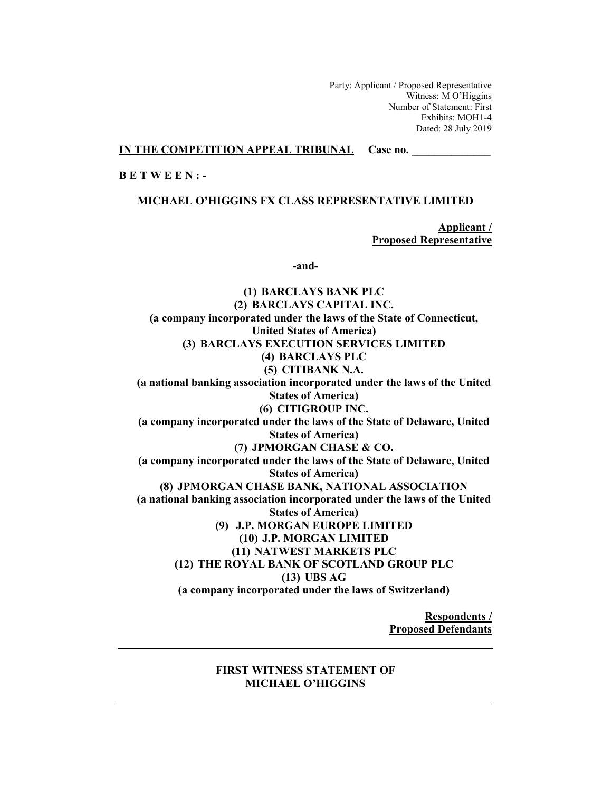Party: Applicant / Proposed Representative Witness: M O'Higgins Number of Statement: First Exhibits: MOH1-4 Dated: 28 July 2019

### **IN THE COMPETITION APPEAL TRIBUNAL Case no.**

# **B E T W E E N : -**

**MICHAEL O'HIGGINS FX CLASS REPRESENTATIVE LIMITED** 

**Applicant / Proposed Representative** 

**-and-** 

**(1) BARCLAYS BANK PLC (2) BARCLAYS CAPITAL INC. (a company incorporated under the laws of the State of Connecticut, United States of America) (3) BARCLAYS EXECUTION SERVICES LIMITED (4) BARCLAYS PLC (5) CITIBANK N.A. (a national banking association incorporated under the laws of the United States of America) (6) CITIGROUP INC. (a company incorporated under the laws of the State of Delaware, United States of America) (7) JPMORGAN CHASE & CO. (a company incorporated under the laws of the State of Delaware, United States of America) (8) JPMORGAN CHASE BANK, NATIONAL ASSOCIATION (a national banking association incorporated under the laws of the United States of America) (9) J.P. MORGAN EUROPE LIMITED (10) J.P. MORGAN LIMITED (11) NATWEST MARKETS PLC (12) THE ROYAL BANK OF SCOTLAND GROUP PLC (13) UBS AG (a company incorporated under the laws of Switzerland)** 

> **Respondents / Proposed Defendants**

## **FIRST WITNESS STATEMENT OF MICHAEL O'HIGGINS**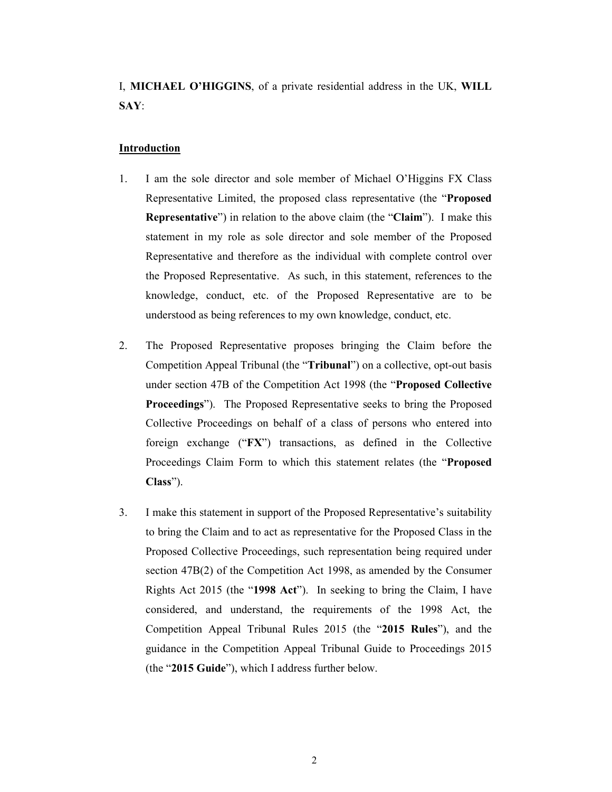I, **MICHAEL O'HIGGINS**, of a private residential address in the UK, **WILL SAY**:

# **Introduction**

- 1. I am the sole director and sole member of Michael O'Higgins FX Class Representative Limited, the proposed class representative (the "**Proposed Representative**") in relation to the above claim (the "**Claim**"). I make this statement in my role as sole director and sole member of the Proposed Representative and therefore as the individual with complete control over the Proposed Representative. As such, in this statement, references to the knowledge, conduct, etc. of the Proposed Representative are to be understood as being references to my own knowledge, conduct, etc.
- 2. The Proposed Representative proposes bringing the Claim before the Competition Appeal Tribunal (the "**Tribunal**") on a collective, opt-out basis under section 47B of the Competition Act 1998 (the "**Proposed Collective Proceedings**"). The Proposed Representative seeks to bring the Proposed Collective Proceedings on behalf of a class of persons who entered into foreign exchange ("**FX**") transactions, as defined in the Collective Proceedings Claim Form to which this statement relates (the "**Proposed Class**").
- 3. I make this statement in support of the Proposed Representative's suitability to bring the Claim and to act as representative for the Proposed Class in the Proposed Collective Proceedings, such representation being required under section 47B(2) of the Competition Act 1998, as amended by the Consumer Rights Act 2015 (the "**1998 Act**"). In seeking to bring the Claim, I have considered, and understand, the requirements of the 1998 Act, the Competition Appeal Tribunal Rules 2015 (the "**2015 Rules**"), and the guidance in the Competition Appeal Tribunal Guide to Proceedings 2015 (the "**2015 Guide**"), which I address further below.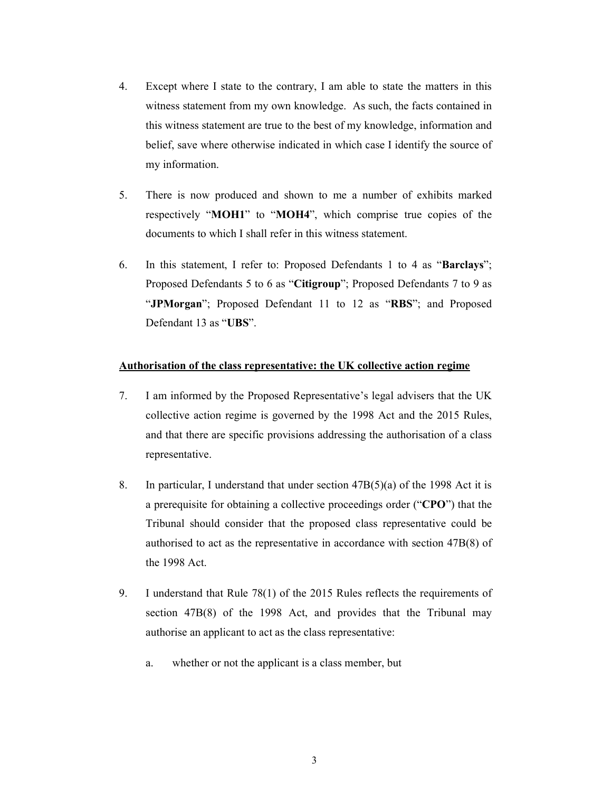- 4. Except where I state to the contrary, I am able to state the matters in this witness statement from my own knowledge. As such, the facts contained in this witness statement are true to the best of my knowledge, information and belief, save where otherwise indicated in which case I identify the source of my information.
- 5. There is now produced and shown to me a number of exhibits marked respectively "**MOH1**" to "**MOH4**", which comprise true copies of the documents to which I shall refer in this witness statement.
- 6. In this statement, I refer to: Proposed Defendants 1 to 4 as "**Barclays**"; Proposed Defendants 5 to 6 as "**Citigroup**"; Proposed Defendants 7 to 9 as "**JPMorgan**"; Proposed Defendant 11 to 12 as "**RBS**"; and Proposed Defendant 13 as "**UBS**".

# **Authorisation of the class representative: the UK collective action regime**

- 7. I am informed by the Proposed Representative's legal advisers that the UK collective action regime is governed by the 1998 Act and the 2015 Rules, and that there are specific provisions addressing the authorisation of a class representative.
- 8. In particular, I understand that under section 47B(5)(a) of the 1998 Act it is a prerequisite for obtaining a collective proceedings order ("**CPO**") that the Tribunal should consider that the proposed class representative could be authorised to act as the representative in accordance with section 47B(8) of the 1998 Act.
- 9. I understand that Rule 78(1) of the 2015 Rules reflects the requirements of section 47B(8) of the 1998 Act, and provides that the Tribunal may authorise an applicant to act as the class representative:
	- a. whether or not the applicant is a class member, but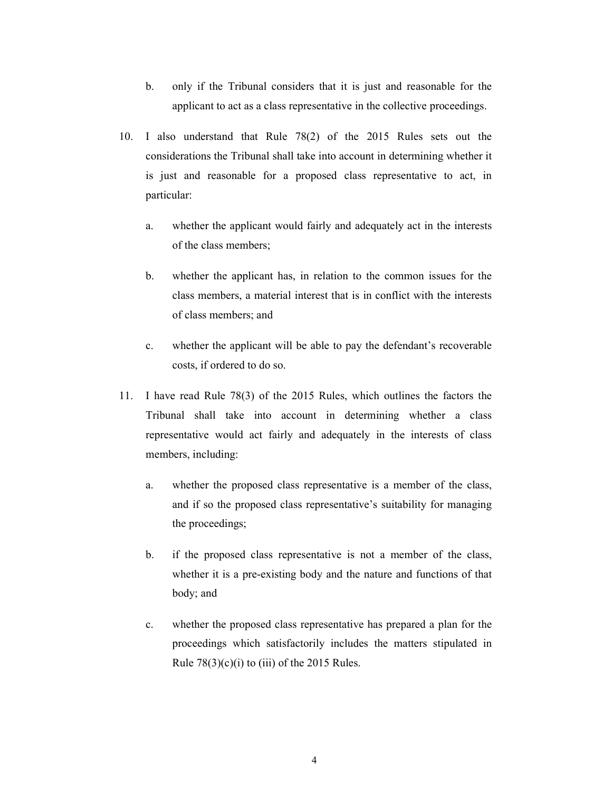- b. only if the Tribunal considers that it is just and reasonable for the applicant to act as a class representative in the collective proceedings.
- 10. I also understand that Rule 78(2) of the 2015 Rules sets out the considerations the Tribunal shall take into account in determining whether it is just and reasonable for a proposed class representative to act, in particular:
	- a. whether the applicant would fairly and adequately act in the interests of the class members;
	- b. whether the applicant has, in relation to the common issues for the class members, a material interest that is in conflict with the interests of class members; and
	- c. whether the applicant will be able to pay the defendant's recoverable costs, if ordered to do so.
- 11. I have read Rule 78(3) of the 2015 Rules, which outlines the factors the Tribunal shall take into account in determining whether a class representative would act fairly and adequately in the interests of class members, including:
	- a. whether the proposed class representative is a member of the class, and if so the proposed class representative's suitability for managing the proceedings;
	- b. if the proposed class representative is not a member of the class, whether it is a pre-existing body and the nature and functions of that body; and
	- c. whether the proposed class representative has prepared a plan for the proceedings which satisfactorily includes the matters stipulated in Rule  $78(3)(c)(i)$  to (iii) of the 2015 Rules.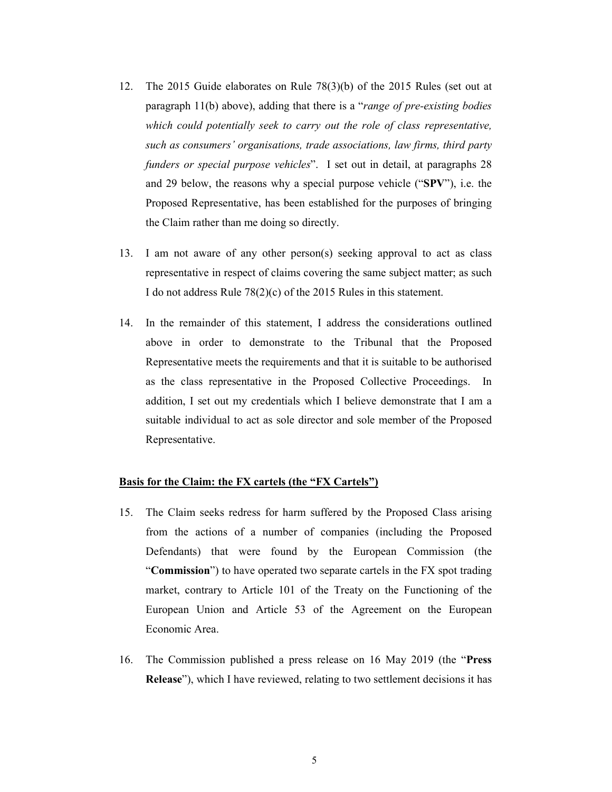- 12. The 2015 Guide elaborates on Rule 78(3)(b) of the 2015 Rules (set out at paragraph 11(b) above), adding that there is a "*range of pre-existing bodies which could potentially seek to carry out the role of class representative, such as consumers' organisations, trade associations, law firms, third party funders or special purpose vehicles*". I set out in detail, at paragraphs 28 and 29 below, the reasons why a special purpose vehicle ("**SPV**"), i.e. the Proposed Representative, has been established for the purposes of bringing the Claim rather than me doing so directly.
- 13. I am not aware of any other person(s) seeking approval to act as class representative in respect of claims covering the same subject matter; as such I do not address Rule 78(2)(c) of the 2015 Rules in this statement.
- 14. In the remainder of this statement, I address the considerations outlined above in order to demonstrate to the Tribunal that the Proposed Representative meets the requirements and that it is suitable to be authorised as the class representative in the Proposed Collective Proceedings. In addition, I set out my credentials which I believe demonstrate that I am a suitable individual to act as sole director and sole member of the Proposed Representative.

### **Basis for the Claim: the FX cartels (the "FX Cartels")**

- 15. The Claim seeks redress for harm suffered by the Proposed Class arising from the actions of a number of companies (including the Proposed Defendants) that were found by the European Commission (the "**Commission**") to have operated two separate cartels in the FX spot trading market, contrary to Article 101 of the Treaty on the Functioning of the European Union and Article 53 of the Agreement on the European Economic Area.
- 16. The Commission published a press release on 16 May 2019 (the "**Press Release**"), which I have reviewed, relating to two settlement decisions it has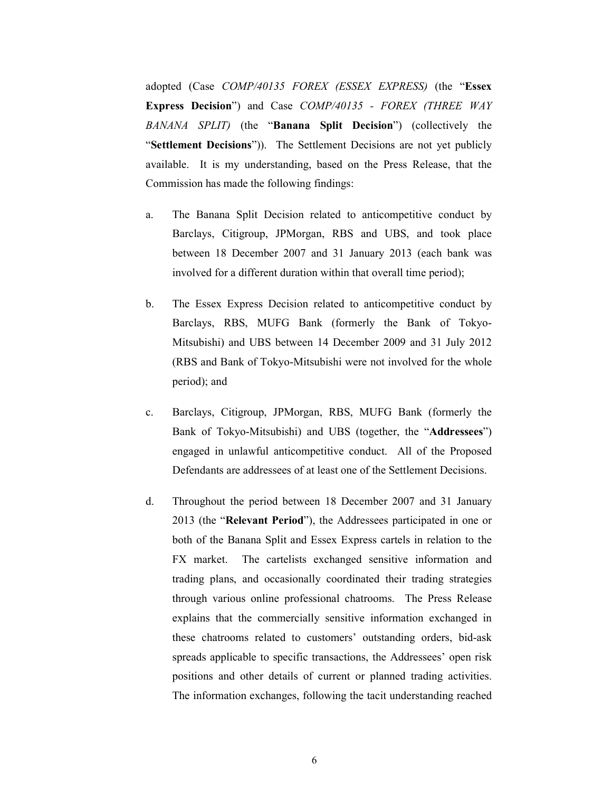adopted (Case *COMP/40135 FOREX (ESSEX EXPRESS)* (the "**Essex Express Decision**") and Case *COMP/40135 - FOREX (THREE WAY BANANA SPLIT)* (the "**Banana Split Decision**") (collectively the "**Settlement Decisions**")). The Settlement Decisions are not yet publicly available. It is my understanding, based on the Press Release, that the Commission has made the following findings:

- a. The Banana Split Decision related to anticompetitive conduct by Barclays, Citigroup, JPMorgan, RBS and UBS, and took place between 18 December 2007 and 31 January 2013 (each bank was involved for a different duration within that overall time period);
- b. The Essex Express Decision related to anticompetitive conduct by Barclays, RBS, MUFG Bank (formerly the Bank of Tokyo-Mitsubishi) and UBS between 14 December 2009 and 31 July 2012 (RBS and Bank of Tokyo-Mitsubishi were not involved for the whole period); and
- c. Barclays, Citigroup, JPMorgan, RBS, MUFG Bank (formerly the Bank of Tokyo-Mitsubishi) and UBS (together, the "**Addressees**") engaged in unlawful anticompetitive conduct. All of the Proposed Defendants are addressees of at least one of the Settlement Decisions.
- d. Throughout the period between 18 December 2007 and 31 January 2013 (the "**Relevant Period**"), the Addressees participated in one or both of the Banana Split and Essex Express cartels in relation to the FX market. The cartelists exchanged sensitive information and trading plans, and occasionally coordinated their trading strategies through various online professional chatrooms. The Press Release explains that the commercially sensitive information exchanged in these chatrooms related to customers' outstanding orders, bid-ask spreads applicable to specific transactions, the Addressees' open risk positions and other details of current or planned trading activities. The information exchanges, following the tacit understanding reached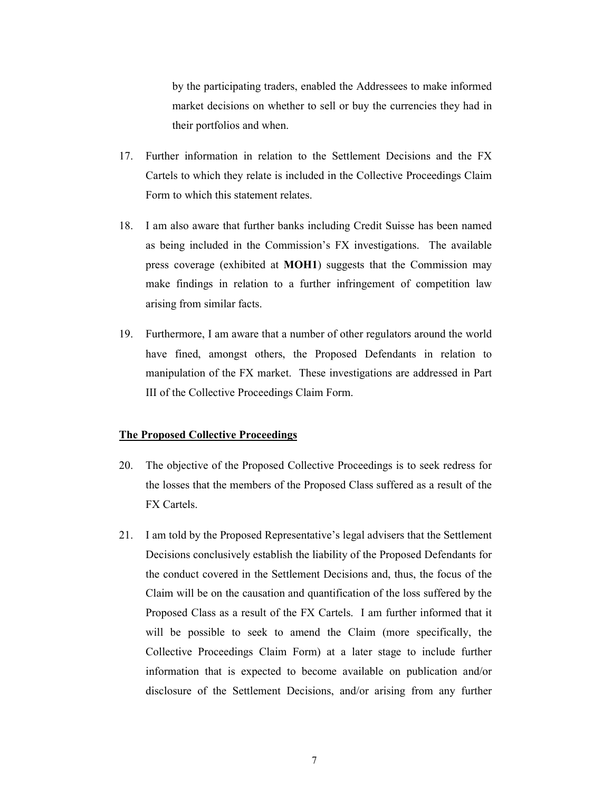by the participating traders, enabled the Addressees to make informed market decisions on whether to sell or buy the currencies they had in their portfolios and when.

- 17. Further information in relation to the Settlement Decisions and the FX Cartels to which they relate is included in the Collective Proceedings Claim Form to which this statement relates.
- 18. I am also aware that further banks including Credit Suisse has been named as being included in the Commission's FX investigations. The available press coverage (exhibited at **MOH1**) suggests that the Commission may make findings in relation to a further infringement of competition law arising from similar facts.
- 19. Furthermore, I am aware that a number of other regulators around the world have fined, amongst others, the Proposed Defendants in relation to manipulation of the FX market. These investigations are addressed in Part III of the Collective Proceedings Claim Form.

### **The Proposed Collective Proceedings**

- 20. The objective of the Proposed Collective Proceedings is to seek redress for the losses that the members of the Proposed Class suffered as a result of the FX Cartels.
- 21. I am told by the Proposed Representative's legal advisers that the Settlement Decisions conclusively establish the liability of the Proposed Defendants for the conduct covered in the Settlement Decisions and, thus, the focus of the Claim will be on the causation and quantification of the loss suffered by the Proposed Class as a result of the FX Cartels. I am further informed that it will be possible to seek to amend the Claim (more specifically, the Collective Proceedings Claim Form) at a later stage to include further information that is expected to become available on publication and/or disclosure of the Settlement Decisions, and/or arising from any further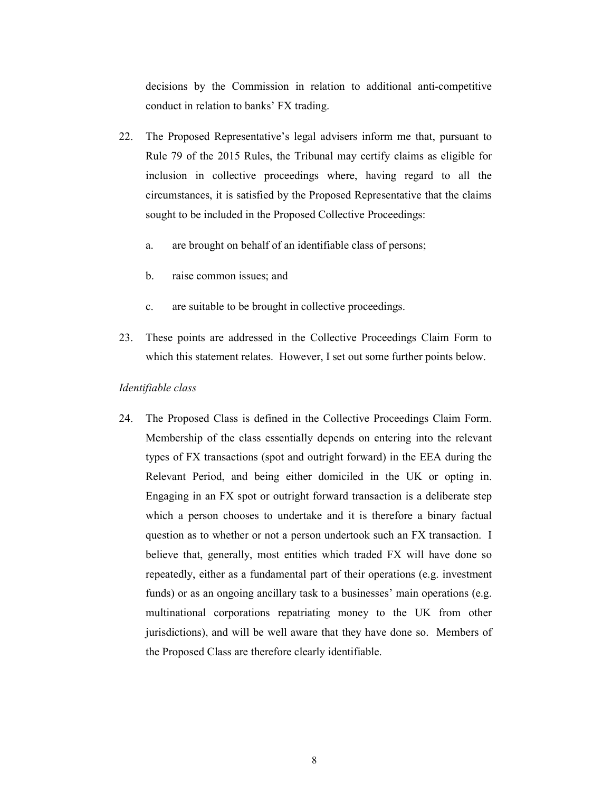decisions by the Commission in relation to additional anti-competitive conduct in relation to banks' FX trading.

- 22. The Proposed Representative's legal advisers inform me that, pursuant to Rule 79 of the 2015 Rules, the Tribunal may certify claims as eligible for inclusion in collective proceedings where, having regard to all the circumstances, it is satisfied by the Proposed Representative that the claims sought to be included in the Proposed Collective Proceedings:
	- a. are brought on behalf of an identifiable class of persons;
	- b. raise common issues; and
	- c. are suitable to be brought in collective proceedings.
- 23. These points are addressed in the Collective Proceedings Claim Form to which this statement relates. However, I set out some further points below.

## *Identifiable class*

24. The Proposed Class is defined in the Collective Proceedings Claim Form. Membership of the class essentially depends on entering into the relevant types of FX transactions (spot and outright forward) in the EEA during the Relevant Period, and being either domiciled in the UK or opting in. Engaging in an FX spot or outright forward transaction is a deliberate step which a person chooses to undertake and it is therefore a binary factual question as to whether or not a person undertook such an FX transaction. I believe that, generally, most entities which traded FX will have done so repeatedly, either as a fundamental part of their operations (e.g. investment funds) or as an ongoing ancillary task to a businesses' main operations (e.g. multinational corporations repatriating money to the UK from other jurisdictions), and will be well aware that they have done so. Members of the Proposed Class are therefore clearly identifiable.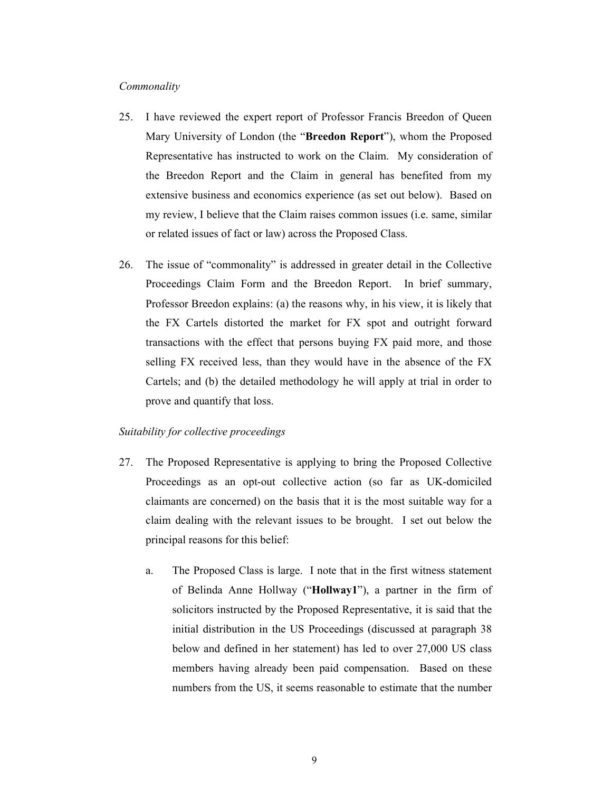## *Commonality*

- 25. I have reviewed the expert report of Professor Francis Breedon of Queen Mary University of London (the "**Breedon Report**"), whom the Proposed Representative has instructed to work on the Claim. My consideration of the Breedon Report and the Claim in general has benefited from my extensive business and economics experience (as set out below). Based on my review, I believe that the Claim raises common issues (i.e. same, similar or related issues of fact or law) across the Proposed Class.
- 26. The issue of "commonality" is addressed in greater detail in the Collective Proceedings Claim Form and the Breedon Report. In brief summary, Professor Breedon explains: (a) the reasons why, in his view, it is likely that the FX Cartels distorted the market for FX spot and outright forward transactions with the effect that persons buying FX paid more, and those selling FX received less, than they would have in the absence of the FX Cartels; and (b) the detailed methodology he will apply at trial in order to prove and quantify that loss.

# *Suitability for collective proceedings*

- 27. The Proposed Representative is applying to bring the Proposed Collective Proceedings as an opt-out collective action (so far as UK-domiciled claimants are concerned) on the basis that it is the most suitable way for a claim dealing with the relevant issues to be brought. I set out below the principal reasons for this belief:
	- a. The Proposed Class is large. I note that in the first witness statement of Belinda Anne Hollway ("**Hollway1**"), a partner in the firm of solicitors instructed by the Proposed Representative, it is said that the initial distribution in the US Proceedings (discussed at paragraph 38 below and defined in her statement) has led to over 27,000 US class members having already been paid compensation. Based on these numbers from the US, it seems reasonable to estimate that the number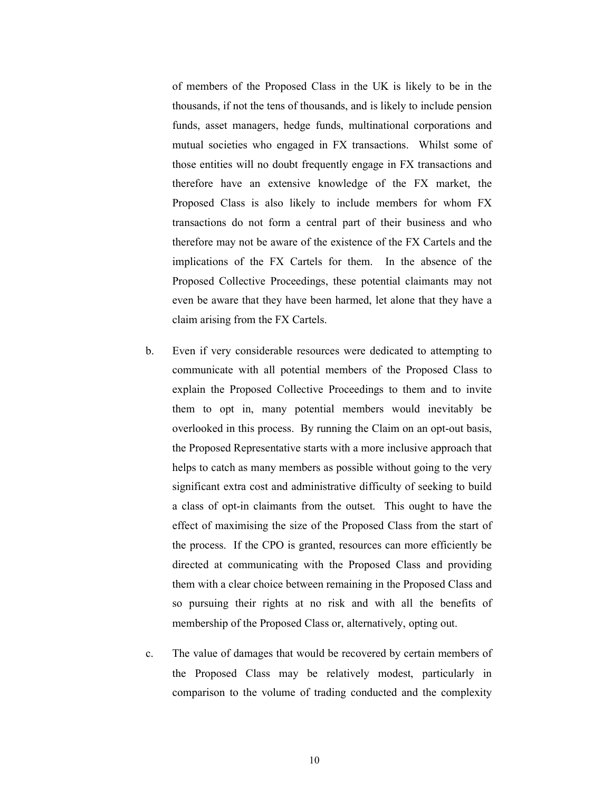of members of the Proposed Class in the UK is likely to be in the thousands, if not the tens of thousands, and is likely to include pension funds, asset managers, hedge funds, multinational corporations and mutual societies who engaged in FX transactions. Whilst some of those entities will no doubt frequently engage in FX transactions and therefore have an extensive knowledge of the FX market, the Proposed Class is also likely to include members for whom FX transactions do not form a central part of their business and who therefore may not be aware of the existence of the FX Cartels and the implications of the FX Cartels for them. In the absence of the Proposed Collective Proceedings, these potential claimants may not even be aware that they have been harmed, let alone that they have a claim arising from the FX Cartels.

- b. Even if very considerable resources were dedicated to attempting to communicate with all potential members of the Proposed Class to explain the Proposed Collective Proceedings to them and to invite them to opt in, many potential members would inevitably be overlooked in this process. By running the Claim on an opt-out basis, the Proposed Representative starts with a more inclusive approach that helps to catch as many members as possible without going to the very significant extra cost and administrative difficulty of seeking to build a class of opt-in claimants from the outset. This ought to have the effect of maximising the size of the Proposed Class from the start of the process. If the CPO is granted, resources can more efficiently be directed at communicating with the Proposed Class and providing them with a clear choice between remaining in the Proposed Class and so pursuing their rights at no risk and with all the benefits of membership of the Proposed Class or, alternatively, opting out.
- c. The value of damages that would be recovered by certain members of the Proposed Class may be relatively modest, particularly in comparison to the volume of trading conducted and the complexity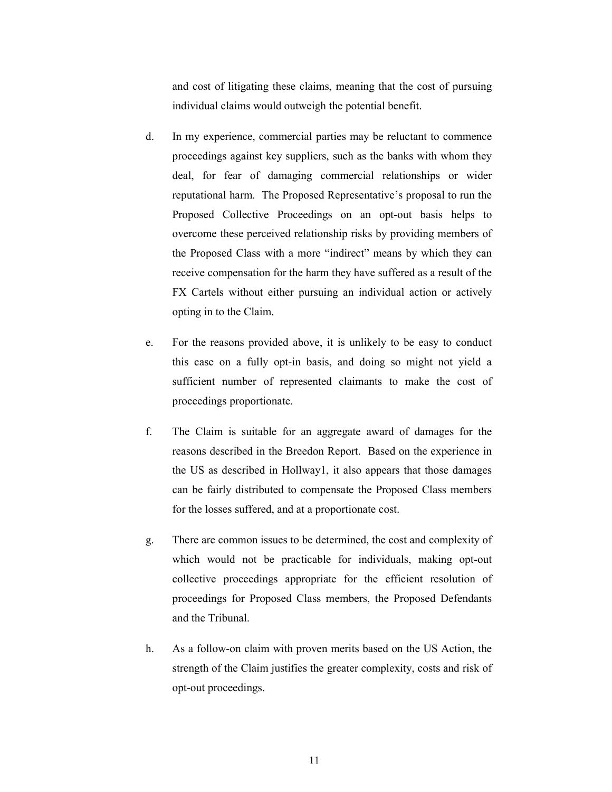and cost of litigating these claims, meaning that the cost of pursuing individual claims would outweigh the potential benefit.

- d. In my experience, commercial parties may be reluctant to commence proceedings against key suppliers, such as the banks with whom they deal, for fear of damaging commercial relationships or wider reputational harm. The Proposed Representative's proposal to run the Proposed Collective Proceedings on an opt-out basis helps to overcome these perceived relationship risks by providing members of the Proposed Class with a more "indirect" means by which they can receive compensation for the harm they have suffered as a result of the FX Cartels without either pursuing an individual action or actively opting in to the Claim.
- e. For the reasons provided above, it is unlikely to be easy to conduct this case on a fully opt-in basis, and doing so might not yield a sufficient number of represented claimants to make the cost of proceedings proportionate.
- f. The Claim is suitable for an aggregate award of damages for the reasons described in the Breedon Report. Based on the experience in the US as described in Hollway1, it also appears that those damages can be fairly distributed to compensate the Proposed Class members for the losses suffered, and at a proportionate cost.
- g. There are common issues to be determined, the cost and complexity of which would not be practicable for individuals, making opt-out collective proceedings appropriate for the efficient resolution of proceedings for Proposed Class members, the Proposed Defendants and the Tribunal.
- h. As a follow-on claim with proven merits based on the US Action, the strength of the Claim justifies the greater complexity, costs and risk of opt-out proceedings.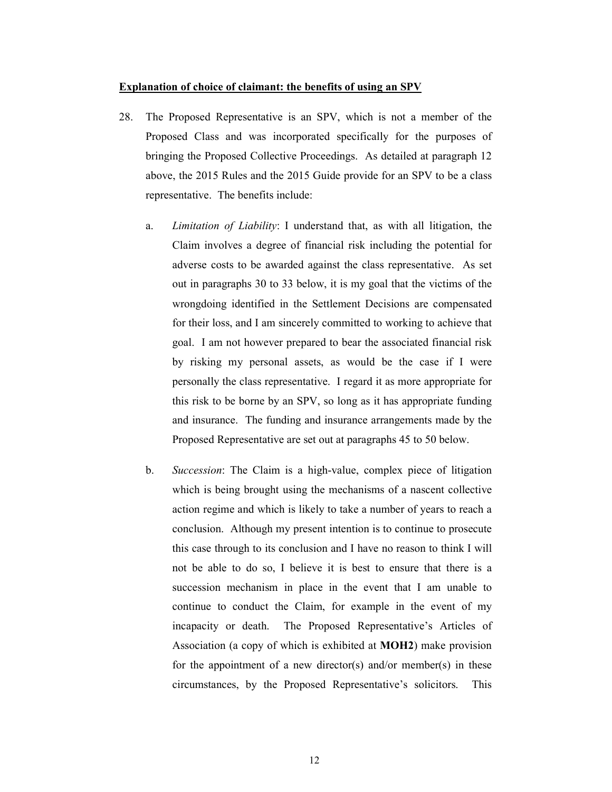### **Explanation of choice of claimant: the benefits of using an SPV**

- 28. The Proposed Representative is an SPV, which is not a member of the Proposed Class and was incorporated specifically for the purposes of bringing the Proposed Collective Proceedings. As detailed at paragraph 12 above, the 2015 Rules and the 2015 Guide provide for an SPV to be a class representative. The benefits include:
	- a. *Limitation of Liability*: I understand that, as with all litigation, the Claim involves a degree of financial risk including the potential for adverse costs to be awarded against the class representative. As set out in paragraphs 30 to 33 below, it is my goal that the victims of the wrongdoing identified in the Settlement Decisions are compensated for their loss, and I am sincerely committed to working to achieve that goal. I am not however prepared to bear the associated financial risk by risking my personal assets, as would be the case if I were personally the class representative. I regard it as more appropriate for this risk to be borne by an SPV, so long as it has appropriate funding and insurance. The funding and insurance arrangements made by the Proposed Representative are set out at paragraphs 45 to 50 below.
	- b. *Succession*: The Claim is a high-value, complex piece of litigation which is being brought using the mechanisms of a nascent collective action regime and which is likely to take a number of years to reach a conclusion. Although my present intention is to continue to prosecute this case through to its conclusion and I have no reason to think I will not be able to do so, I believe it is best to ensure that there is a succession mechanism in place in the event that I am unable to continue to conduct the Claim, for example in the event of my incapacity or death. The Proposed Representative's Articles of Association (a copy of which is exhibited at **MOH2**) make provision for the appointment of a new director(s) and/or member(s) in these circumstances, by the Proposed Representative's solicitors. This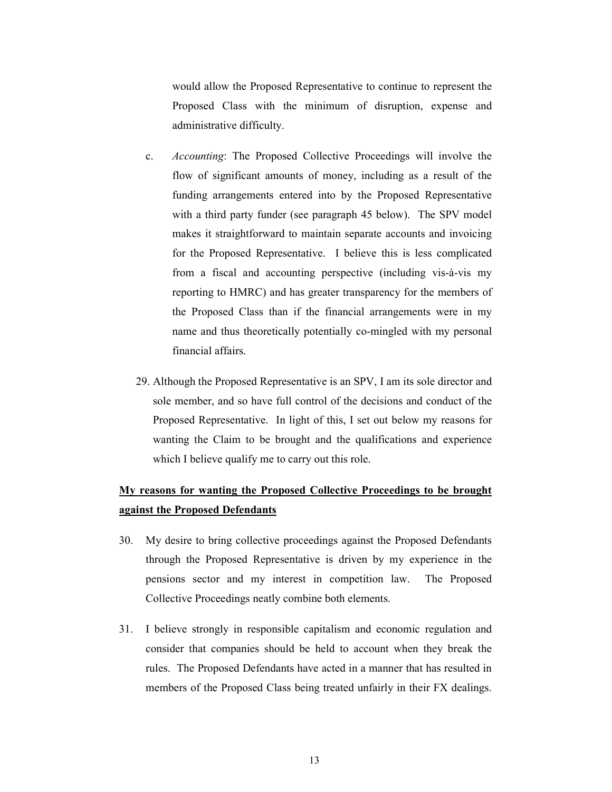would allow the Proposed Representative to continue to represent the Proposed Class with the minimum of disruption, expense and administrative difficulty.

- c. *Accounting*: The Proposed Collective Proceedings will involve the flow of significant amounts of money, including as a result of the funding arrangements entered into by the Proposed Representative with a third party funder (see paragraph 45 below). The SPV model makes it straightforward to maintain separate accounts and invoicing for the Proposed Representative. I believe this is less complicated from a fiscal and accounting perspective (including vis-à-vis my reporting to HMRC) and has greater transparency for the members of the Proposed Class than if the financial arrangements were in my name and thus theoretically potentially co-mingled with my personal financial affairs.
- 29. Although the Proposed Representative is an SPV, I am its sole director and sole member, and so have full control of the decisions and conduct of the Proposed Representative. In light of this, I set out below my reasons for wanting the Claim to be brought and the qualifications and experience which I believe qualify me to carry out this role.

# **My reasons for wanting the Proposed Collective Proceedings to be brought against the Proposed Defendants**

- 30. My desire to bring collective proceedings against the Proposed Defendants through the Proposed Representative is driven by my experience in the pensions sector and my interest in competition law. The Proposed Collective Proceedings neatly combine both elements.
- 31. I believe strongly in responsible capitalism and economic regulation and consider that companies should be held to account when they break the rules. The Proposed Defendants have acted in a manner that has resulted in members of the Proposed Class being treated unfairly in their FX dealings.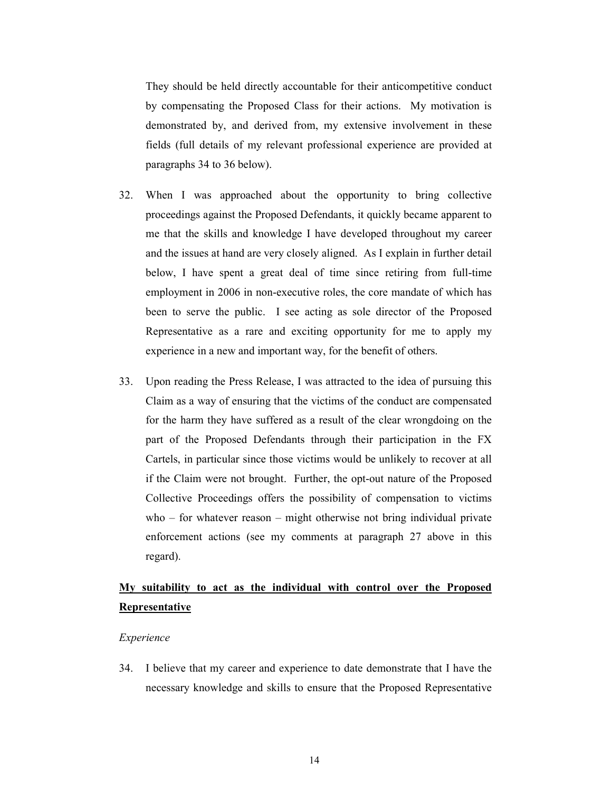They should be held directly accountable for their anticompetitive conduct by compensating the Proposed Class for their actions. My motivation is demonstrated by, and derived from, my extensive involvement in these fields (full details of my relevant professional experience are provided at paragraphs 34 to 36 below).

- 32. When I was approached about the opportunity to bring collective proceedings against the Proposed Defendants, it quickly became apparent to me that the skills and knowledge I have developed throughout my career and the issues at hand are very closely aligned. As I explain in further detail below, I have spent a great deal of time since retiring from full-time employment in 2006 in non-executive roles, the core mandate of which has been to serve the public. I see acting as sole director of the Proposed Representative as a rare and exciting opportunity for me to apply my experience in a new and important way, for the benefit of others.
- 33. Upon reading the Press Release, I was attracted to the idea of pursuing this Claim as a way of ensuring that the victims of the conduct are compensated for the harm they have suffered as a result of the clear wrongdoing on the part of the Proposed Defendants through their participation in the FX Cartels, in particular since those victims would be unlikely to recover at all if the Claim were not brought. Further, the opt-out nature of the Proposed Collective Proceedings offers the possibility of compensation to victims who – for whatever reason – might otherwise not bring individual private enforcement actions (see my comments at paragraph 27 above in this regard).

# **My suitability to act as the individual with control over the Proposed Representative**

## *Experience*

34. I believe that my career and experience to date demonstrate that I have the necessary knowledge and skills to ensure that the Proposed Representative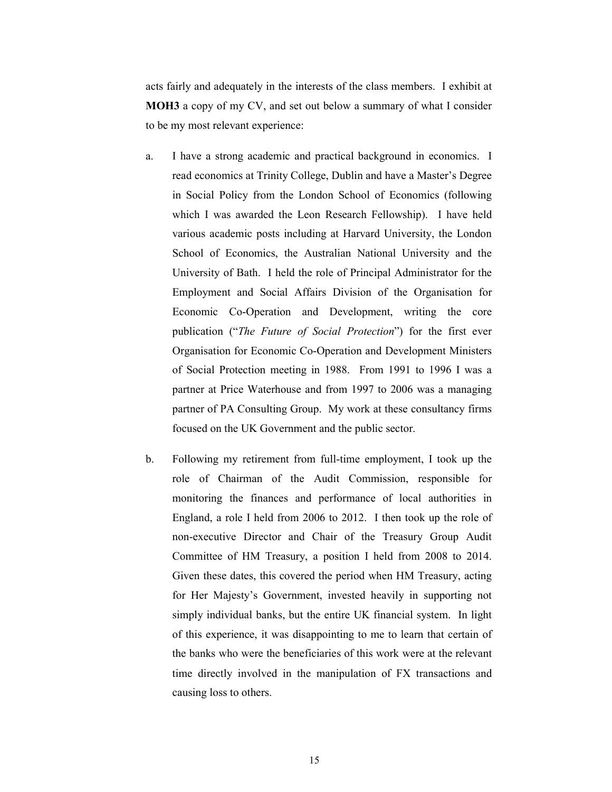acts fairly and adequately in the interests of the class members. I exhibit at **MOH3** a copy of my CV, and set out below a summary of what I consider to be my most relevant experience:

- a. I have a strong academic and practical background in economics. I read economics at Trinity College, Dublin and have a Master's Degree in Social Policy from the London School of Economics (following which I was awarded the Leon Research Fellowship). I have held various academic posts including at Harvard University, the London School of Economics, the Australian National University and the University of Bath. I held the role of Principal Administrator for the Employment and Social Affairs Division of the Organisation for Economic Co-Operation and Development, writing the core publication ("*The Future of Social Protection*") for the first ever Organisation for Economic Co-Operation and Development Ministers of Social Protection meeting in 1988. From 1991 to 1996 I was a partner at Price Waterhouse and from 1997 to 2006 was a managing partner of PA Consulting Group. My work at these consultancy firms focused on the UK Government and the public sector.
- b. Following my retirement from full-time employment, I took up the role of Chairman of the Audit Commission, responsible for monitoring the finances and performance of local authorities in England, a role I held from 2006 to 2012. I then took up the role of non-executive Director and Chair of the Treasury Group Audit Committee of HM Treasury, a position I held from 2008 to 2014. Given these dates, this covered the period when HM Treasury, acting for Her Majesty's Government, invested heavily in supporting not simply individual banks, but the entire UK financial system. In light of this experience, it was disappointing to me to learn that certain of the banks who were the beneficiaries of this work were at the relevant time directly involved in the manipulation of FX transactions and causing loss to others.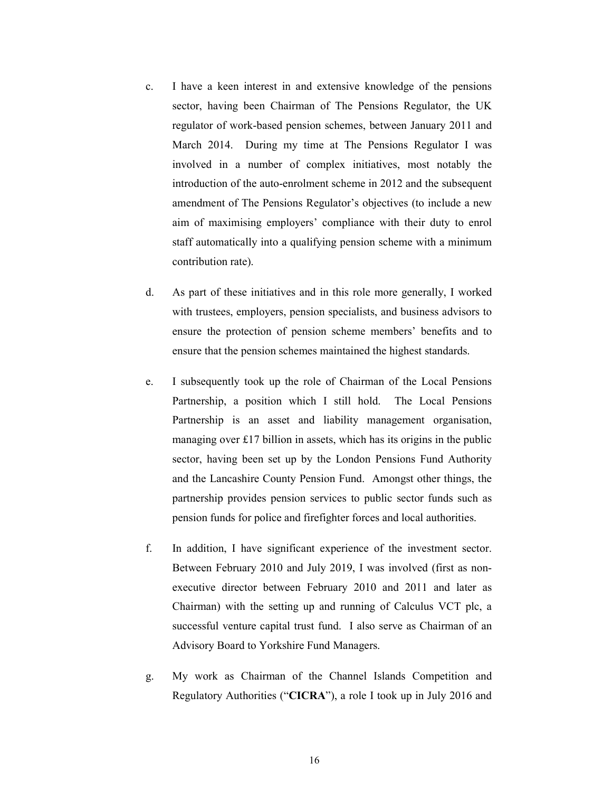- c. I have a keen interest in and extensive knowledge of the pensions sector, having been Chairman of The Pensions Regulator, the UK regulator of work-based pension schemes, between January 2011 and March 2014. During my time at The Pensions Regulator I was involved in a number of complex initiatives, most notably the introduction of the auto-enrolment scheme in 2012 and the subsequent amendment of The Pensions Regulator's objectives (to include a new aim of maximising employers' compliance with their duty to enrol staff automatically into a qualifying pension scheme with a minimum contribution rate).
- d. As part of these initiatives and in this role more generally, I worked with trustees, employers, pension specialists, and business advisors to ensure the protection of pension scheme members' benefits and to ensure that the pension schemes maintained the highest standards.
- e. I subsequently took up the role of Chairman of the Local Pensions Partnership, a position which I still hold. The Local Pensions Partnership is an asset and liability management organisation, managing over £17 billion in assets, which has its origins in the public sector, having been set up by the London Pensions Fund Authority and the Lancashire County Pension Fund. Amongst other things, the partnership provides pension services to public sector funds such as pension funds for police and firefighter forces and local authorities.
- f. In addition, I have significant experience of the investment sector. Between February 2010 and July 2019, I was involved (first as nonexecutive director between February 2010 and 2011 and later as Chairman) with the setting up and running of Calculus VCT plc, a successful venture capital trust fund. I also serve as Chairman of an Advisory Board to Yorkshire Fund Managers.
- g. My work as Chairman of the Channel Islands Competition and Regulatory Authorities ("**CICRA**"), a role I took up in July 2016 and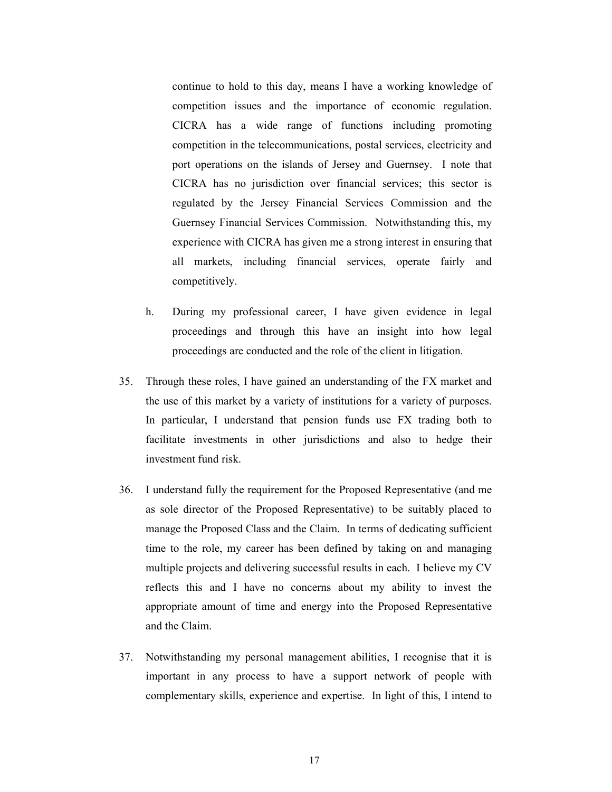continue to hold to this day, means I have a working knowledge of competition issues and the importance of economic regulation. CICRA has a wide range of functions including promoting competition in the telecommunications, postal services, electricity and port operations on the islands of Jersey and Guernsey. I note that CICRA has no jurisdiction over financial services; this sector is regulated by the Jersey Financial Services Commission and the Guernsey Financial Services Commission. Notwithstanding this, my experience with CICRA has given me a strong interest in ensuring that all markets, including financial services, operate fairly and competitively.

- h. During my professional career, I have given evidence in legal proceedings and through this have an insight into how legal proceedings are conducted and the role of the client in litigation.
- 35. Through these roles, I have gained an understanding of the FX market and the use of this market by a variety of institutions for a variety of purposes. In particular, I understand that pension funds use FX trading both to facilitate investments in other jurisdictions and also to hedge their investment fund risk.
- 36. I understand fully the requirement for the Proposed Representative (and me as sole director of the Proposed Representative) to be suitably placed to manage the Proposed Class and the Claim. In terms of dedicating sufficient time to the role, my career has been defined by taking on and managing multiple projects and delivering successful results in each. I believe my CV reflects this and I have no concerns about my ability to invest the appropriate amount of time and energy into the Proposed Representative and the Claim.
- 37. Notwithstanding my personal management abilities, I recognise that it is important in any process to have a support network of people with complementary skills, experience and expertise. In light of this, I intend to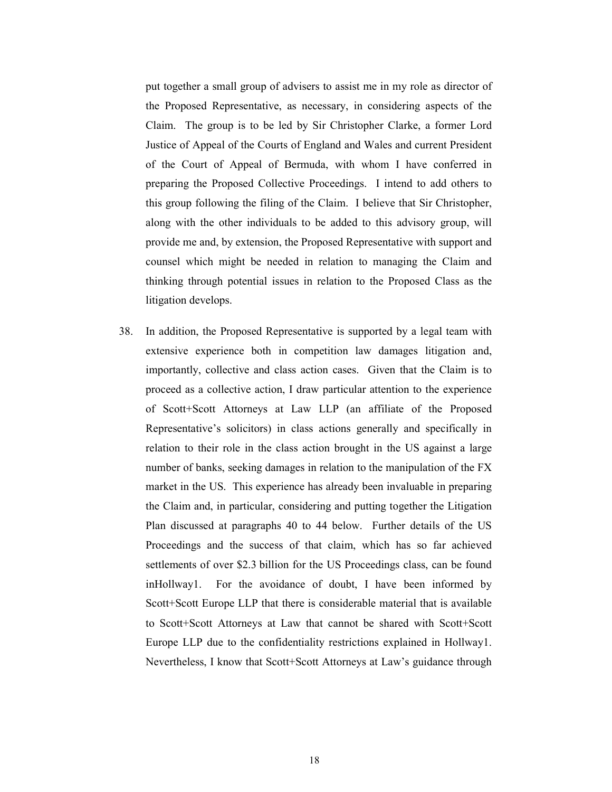put together a small group of advisers to assist me in my role as director of the Proposed Representative, as necessary, in considering aspects of the Claim. The group is to be led by Sir Christopher Clarke, a former Lord Justice of Appeal of the Courts of England and Wales and current President of the Court of Appeal of Bermuda, with whom I have conferred in preparing the Proposed Collective Proceedings. I intend to add others to this group following the filing of the Claim. I believe that Sir Christopher, along with the other individuals to be added to this advisory group, will provide me and, by extension, the Proposed Representative with support and counsel which might be needed in relation to managing the Claim and thinking through potential issues in relation to the Proposed Class as the litigation develops.

38. In addition, the Proposed Representative is supported by a legal team with extensive experience both in competition law damages litigation and, importantly, collective and class action cases. Given that the Claim is to proceed as a collective action, I draw particular attention to the experience of Scott+Scott Attorneys at Law LLP (an affiliate of the Proposed Representative's solicitors) in class actions generally and specifically in relation to their role in the class action brought in the US against a large number of banks, seeking damages in relation to the manipulation of the FX market in the US. This experience has already been invaluable in preparing the Claim and, in particular, considering and putting together the Litigation Plan discussed at paragraphs 40 to 44 below. Further details of the US Proceedings and the success of that claim, which has so far achieved settlements of over \$2.3 billion for the US Proceedings class, can be found inHollway1. For the avoidance of doubt, I have been informed by Scott+Scott Europe LLP that there is considerable material that is available to Scott+Scott Attorneys at Law that cannot be shared with Scott+Scott Europe LLP due to the confidentiality restrictions explained in Hollway1. Nevertheless, I know that Scott+Scott Attorneys at Law's guidance through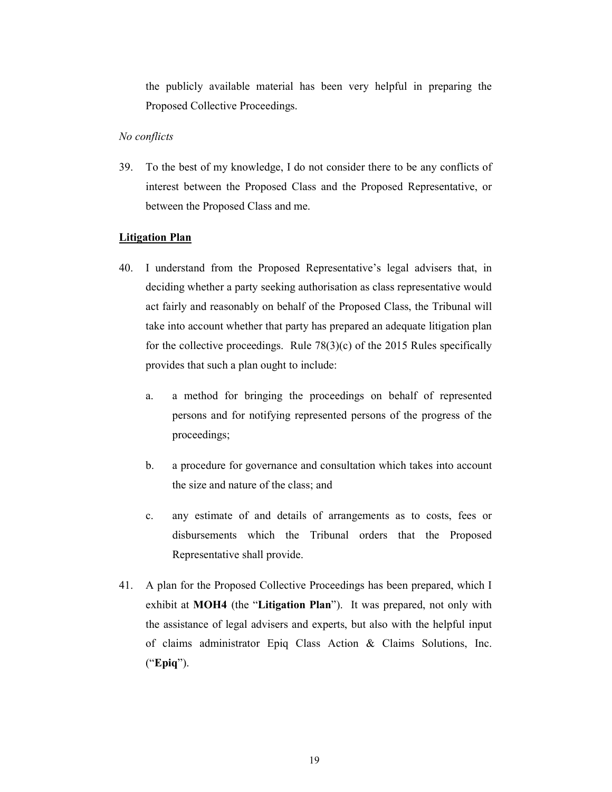the publicly available material has been very helpful in preparing the Proposed Collective Proceedings.

# *No conflicts*

39. To the best of my knowledge, I do not consider there to be any conflicts of interest between the Proposed Class and the Proposed Representative, or between the Proposed Class and me.

# **Litigation Plan**

- 40. I understand from the Proposed Representative's legal advisers that, in deciding whether a party seeking authorisation as class representative would act fairly and reasonably on behalf of the Proposed Class, the Tribunal will take into account whether that party has prepared an adequate litigation plan for the collective proceedings. Rule  $78(3)(c)$  of the 2015 Rules specifically provides that such a plan ought to include:
	- a. a method for bringing the proceedings on behalf of represented persons and for notifying represented persons of the progress of the proceedings;
	- b. a procedure for governance and consultation which takes into account the size and nature of the class; and
	- c. any estimate of and details of arrangements as to costs, fees or disbursements which the Tribunal orders that the Proposed Representative shall provide.
- 41. A plan for the Proposed Collective Proceedings has been prepared, which I exhibit at **MOH4** (the "**Litigation Plan**"). It was prepared, not only with the assistance of legal advisers and experts, but also with the helpful input of claims administrator Epiq Class Action & Claims Solutions, Inc. ("**Epiq**").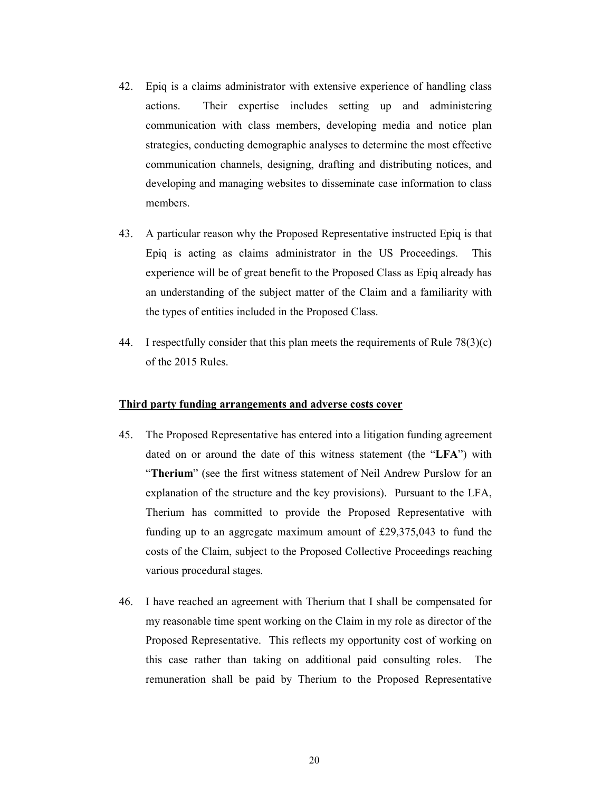- 42. Epiq is a claims administrator with extensive experience of handling class actions. Their expertise includes setting up and administering communication with class members, developing media and notice plan strategies, conducting demographic analyses to determine the most effective communication channels, designing, drafting and distributing notices, and developing and managing websites to disseminate case information to class members.
- 43. A particular reason why the Proposed Representative instructed Epiq is that Epiq is acting as claims administrator in the US Proceedings. This experience will be of great benefit to the Proposed Class as Epiq already has an understanding of the subject matter of the Claim and a familiarity with the types of entities included in the Proposed Class.
- 44. I respectfully consider that this plan meets the requirements of Rule  $78(3)(c)$ of the 2015 Rules.

## **Third party funding arrangements and adverse costs cover**

- 45. The Proposed Representative has entered into a litigation funding agreement dated on or around the date of this witness statement (the "**LFA**") with "**Therium**" (see the first witness statement of Neil Andrew Purslow for an explanation of the structure and the key provisions). Pursuant to the LFA, Therium has committed to provide the Proposed Representative with funding up to an aggregate maximum amount of £29,375,043 to fund the costs of the Claim, subject to the Proposed Collective Proceedings reaching various procedural stages.
- 46. I have reached an agreement with Therium that I shall be compensated for my reasonable time spent working on the Claim in my role as director of the Proposed Representative. This reflects my opportunity cost of working on this case rather than taking on additional paid consulting roles. The remuneration shall be paid by Therium to the Proposed Representative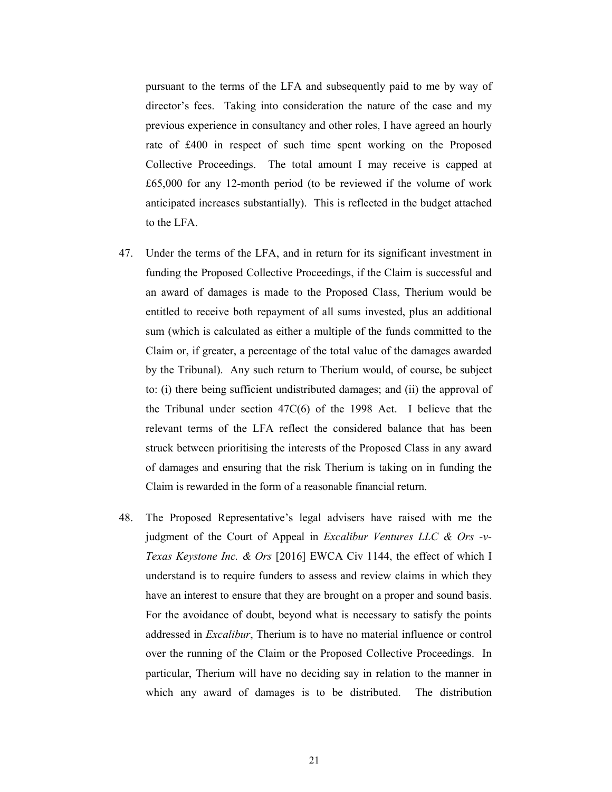pursuant to the terms of the LFA and subsequently paid to me by way of director's fees. Taking into consideration the nature of the case and my previous experience in consultancy and other roles, I have agreed an hourly rate of £400 in respect of such time spent working on the Proposed Collective Proceedings. The total amount I may receive is capped at £65,000 for any 12-month period (to be reviewed if the volume of work anticipated increases substantially). This is reflected in the budget attached to the LFA.

- 47. Under the terms of the LFA, and in return for its significant investment in funding the Proposed Collective Proceedings, if the Claim is successful and an award of damages is made to the Proposed Class, Therium would be entitled to receive both repayment of all sums invested, plus an additional sum (which is calculated as either a multiple of the funds committed to the Claim or, if greater, a percentage of the total value of the damages awarded by the Tribunal). Any such return to Therium would, of course, be subject to: (i) there being sufficient undistributed damages; and (ii) the approval of the Tribunal under section 47C(6) of the 1998 Act. I believe that the relevant terms of the LFA reflect the considered balance that has been struck between prioritising the interests of the Proposed Class in any award of damages and ensuring that the risk Therium is taking on in funding the Claim is rewarded in the form of a reasonable financial return.
- 48. The Proposed Representative's legal advisers have raised with me the judgment of the Court of Appeal in *Excalibur Ventures LLC & Ors -v-Texas Keystone Inc. & Ors* [2016] EWCA Civ 1144, the effect of which I understand is to require funders to assess and review claims in which they have an interest to ensure that they are brought on a proper and sound basis. For the avoidance of doubt, beyond what is necessary to satisfy the points addressed in *Excalibur*, Therium is to have no material influence or control over the running of the Claim or the Proposed Collective Proceedings. In particular, Therium will have no deciding say in relation to the manner in which any award of damages is to be distributed. The distribution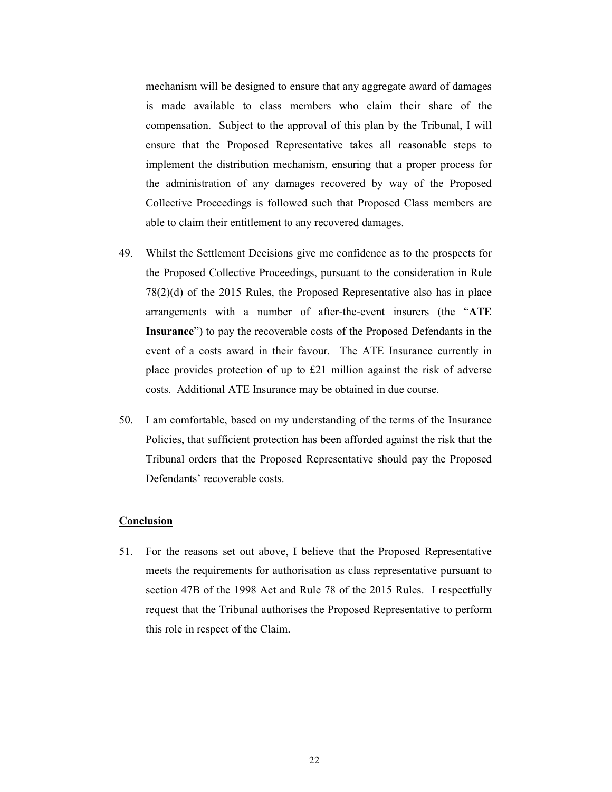mechanism will be designed to ensure that any aggregate award of damages is made available to class members who claim their share of the compensation. Subject to the approval of this plan by the Tribunal, I will ensure that the Proposed Representative takes all reasonable steps to implement the distribution mechanism, ensuring that a proper process for the administration of any damages recovered by way of the Proposed Collective Proceedings is followed such that Proposed Class members are able to claim their entitlement to any recovered damages.

- 49. Whilst the Settlement Decisions give me confidence as to the prospects for the Proposed Collective Proceedings, pursuant to the consideration in Rule 78(2)(d) of the 2015 Rules, the Proposed Representative also has in place arrangements with a number of after-the-event insurers (the "**ATE Insurance**") to pay the recoverable costs of the Proposed Defendants in the event of a costs award in their favour. The ATE Insurance currently in place provides protection of up to £21 million against the risk of adverse costs. Additional ATE Insurance may be obtained in due course.
- 50. I am comfortable, based on my understanding of the terms of the Insurance Policies, that sufficient protection has been afforded against the risk that the Tribunal orders that the Proposed Representative should pay the Proposed Defendants' recoverable costs.

### **Conclusion**

51. For the reasons set out above, I believe that the Proposed Representative meets the requirements for authorisation as class representative pursuant to section 47B of the 1998 Act and Rule 78 of the 2015 Rules. I respectfully request that the Tribunal authorises the Proposed Representative to perform this role in respect of the Claim.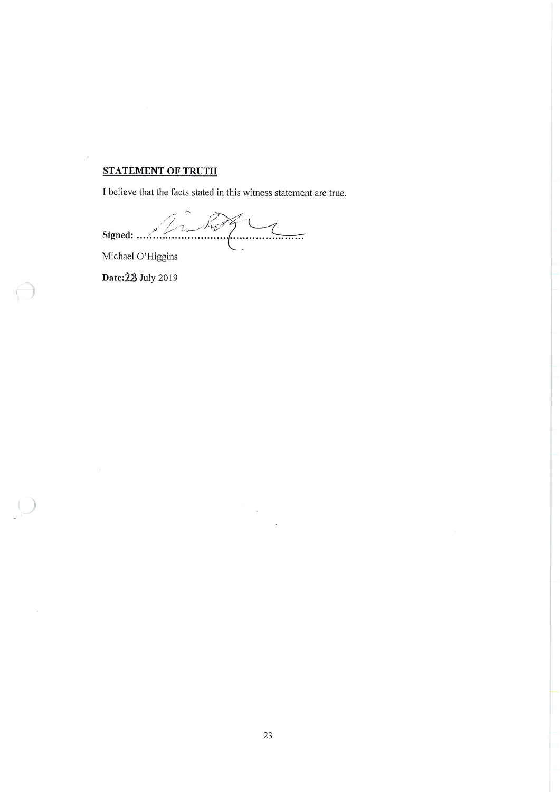# **STATEMENT OF TRUTH**

I believe that the facts stated in this witness statement are true.

 $\begin{picture}(220,20) \put(0,0){\vector(1,0){100}} \put(15,0){\vector(1,0){100}} \put(15,0){\vector(1,0){100}} \put(15,0){\vector(1,0){100}} \put(15,0){\vector(1,0){100}} \put(15,0){\vector(1,0){100}} \put(15,0){\vector(1,0){100}} \put(15,0){\vector(1,0){100}} \put(15,0){\vector(1,0){100}} \put(15,0){\vector(1,0){100}} \put(15,0){\vector(1,0){100}}$  $\mathbb{Z}^2$ Signed: .......

Michael O'Higgins

Date: 28 July 2019

 $\sqrt{2}$